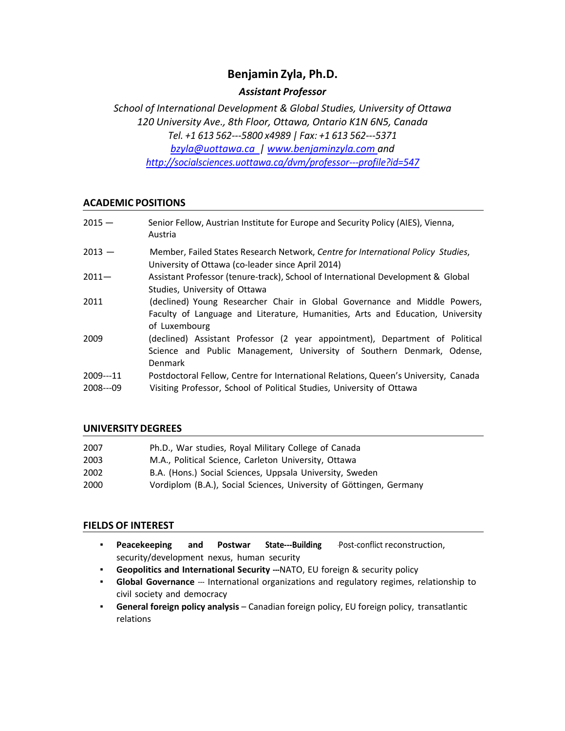# **Benjamin Zyla, Ph.D.**

# *Assistant Professor*

*School of International Development & Global Studies, University of Ottawa 120 University Ave., 8th Floor, Ottawa, Ontario K1N 6N5, Canada Tel. +1 613 562---5800 x4989 | Fax: +1 613 562---5371 [bzyla@uottawa.ca](mailto:bzyla@uottawa.ca) | [www.benjaminzyla.com](http://www.benjaminzyla.com/) and [http://socialsciences.uottawa.ca/dvm/professor---p](http://socialsciences.uottawa.ca/dvm/professor-)rofile?id=547*

# **ACADEMIC POSITIONS**

| $2015 -$                | Senior Fellow, Austrian Institute for Europe and Security Policy (AIES), Vienna,<br>Austria                                                                                  |
|-------------------------|------------------------------------------------------------------------------------------------------------------------------------------------------------------------------|
| $2013 -$                | Member, Failed States Research Network, Centre for International Policy Studies,<br>University of Ottawa (co-leader since April 2014)                                        |
| $2011 -$                | Assistant Professor (tenure-track), School of International Development & Global<br>Studies, University of Ottawa                                                            |
| 2011                    | (declined) Young Researcher Chair in Global Governance and Middle Powers,<br>Faculty of Language and Literature, Humanities, Arts and Education, University<br>of Luxembourg |
| 2009                    | (declined) Assistant Professor (2 year appointment), Department of Political<br>Science and Public Management, University of Southern Denmark, Odense,<br>Denmark            |
| $2009--11$<br>2008---09 | Postdoctoral Fellow, Centre for International Relations, Queen's University, Canada<br>Visiting Professor, School of Political Studies, University of Ottawa                 |

# **UNIVERSITY DEGREES**

| 2007 | Ph.D., War studies, Royal Military College of Canada                |
|------|---------------------------------------------------------------------|
| 2003 | M.A., Political Science, Carleton University, Ottawa                |
| 2002 | B.A. (Hons.) Social Sciences, Uppsala University, Sweden            |
| 2000 | Vordiplom (B.A.), Social Sciences, University of Göttingen, Germany |

## **FIELDS OF INTEREST**

- **Peacekeeping and Postwar State---Building** -Post-conflict reconstruction, security/development nexus, human security
- **Geopolitics and International Security ---**NATO, EU foreign & security policy
- **Global Governance** --- International organizations and regulatory regimes, relationship to civil society and democracy
- **General foreign policy analysis**  Canadian foreign policy, EU foreign policy, transatlantic relations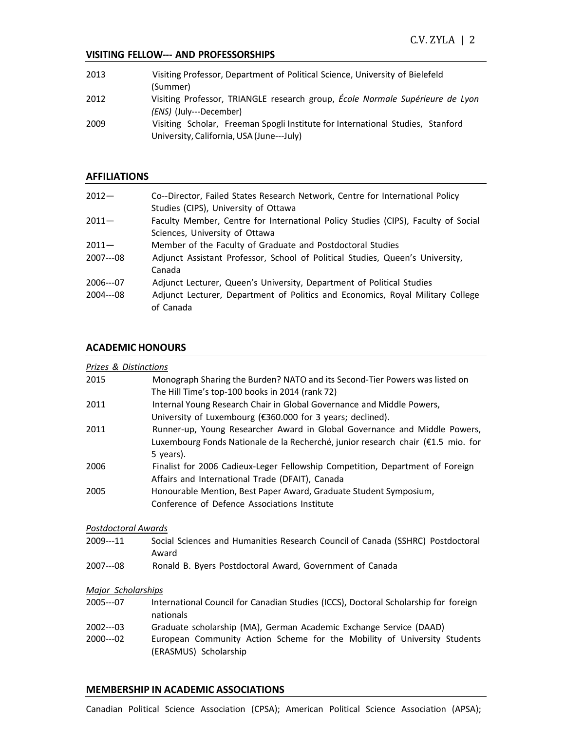#### **VISITING FELLOW--- AND PROFESSORSHIPS**

| 2013 | Visiting Professor, Department of Political Science, University of Bielefeld   |
|------|--------------------------------------------------------------------------------|
|      | (Summer)                                                                       |
| 2012 | Visiting Professor, TRIANGLE research group, École Normale Supérieure de Lyon  |
|      | <i>(ENS)</i> (July---December)                                                 |
| 2009 | Visiting Scholar, Freeman Spogli Institute for International Studies, Stanford |
|      | University, California, USA (June---July)                                      |

#### **AFFILIATIONS**

| $2012 -$   | Co--Director, Failed States Research Network, Centre for International Policy     |
|------------|-----------------------------------------------------------------------------------|
|            | Studies (CIPS), University of Ottawa                                              |
| $2011 -$   | Faculty Member, Centre for International Policy Studies (CIPS), Faculty of Social |
|            | Sciences, University of Ottawa                                                    |
| $2011 -$   | Member of the Faculty of Graduate and Postdoctoral Studies                        |
| $2007--08$ | Adjunct Assistant Professor, School of Political Studies, Queen's University,     |
|            | Canada                                                                            |
| $2006--07$ | Adjunct Lecturer, Queen's University, Department of Political Studies             |
| $2004--08$ | Adjunct Lecturer, Department of Politics and Economics, Royal Military College    |
|            | of Canada                                                                         |

## **ACADEMIC HONOURS**

| Prizes & Distinctions     |                                                                                                   |  |
|---------------------------|---------------------------------------------------------------------------------------------------|--|
| 2015                      | Monograph Sharing the Burden? NATO and its Second-Tier Powers was listed on                       |  |
|                           | The Hill Time's top-100 books in 2014 (rank 72)                                                   |  |
| 2011                      | Internal Young Research Chair in Global Governance and Middle Powers,                             |  |
|                           | University of Luxembourg (€360.000 for 3 years; declined).                                        |  |
| 2011                      | Runner-up, Young Researcher Award in Global Governance and Middle Powers,                         |  |
|                           | Luxembourg Fonds Nationale de la Recherché, junior research chair (€1.5 mio. for                  |  |
|                           | 5 years).                                                                                         |  |
| 2006                      | Finalist for 2006 Cadieux-Leger Fellowship Competition, Department of Foreign                     |  |
|                           | Affairs and International Trade (DFAIT), Canada                                                   |  |
| 2005                      | Honourable Mention, Best Paper Award, Graduate Student Symposium,                                 |  |
|                           | Conference of Defence Associations Institute                                                      |  |
| Postdoctoral Awards       |                                                                                                   |  |
| 2009---11                 | Social Sciences and Humanities Research Council of Canada (SSHRC) Postdoctoral                    |  |
|                           | Award                                                                                             |  |
| 2007---08                 | Ronald B. Byers Postdoctoral Award, Government of Canada                                          |  |
| <b>Major Scholarships</b> |                                                                                                   |  |
| $2005--07$                | International Council for Canadian Studies (ICCS), Doctoral Scholarship for foreign               |  |
|                           | nationals                                                                                         |  |
| $2002--03$                | Graduate scholarship (MA), German Academic Exchange Service (DAAD)                                |  |
| $2000--02$                | European Community Action Scheme for the Mobility of University Students<br>(ERASMUS) Scholarship |  |

## **MEMBERSHIP IN ACADEMIC ASSOCIATIONS**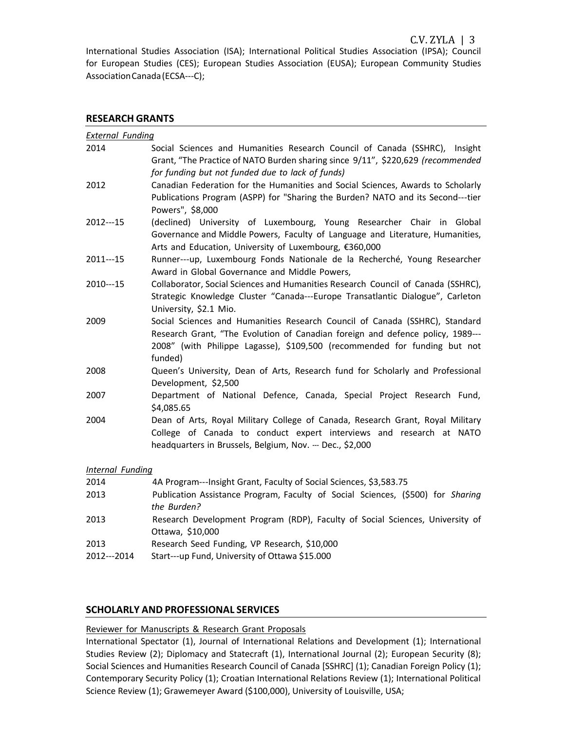International Studies Association (ISA); International Political Studies Association (IPSA); Council for European Studies (CES); European Studies Association (EUSA); European Community Studies Association Canada (ECSA---C);

#### **RESEARCH GRANTS**

| <b>External Funding</b> |                                                                                                                                                                                                                                                       |  |
|-------------------------|-------------------------------------------------------------------------------------------------------------------------------------------------------------------------------------------------------------------------------------------------------|--|
| 2014                    | Social Sciences and Humanities Research Council of Canada (SSHRC), Insight<br>Grant, "The Practice of NATO Burden sharing since 9/11", \$220,629 (recommended                                                                                         |  |
|                         | for funding but not funded due to lack of funds)                                                                                                                                                                                                      |  |
| 2012                    | Canadian Federation for the Humanities and Social Sciences, Awards to Scholarly<br>Publications Program (ASPP) for "Sharing the Burden? NATO and its Second---tier<br>Powers", \$8,000                                                                |  |
| 2012---15               | (declined) University of Luxembourg, Young Researcher Chair in Global                                                                                                                                                                                 |  |
|                         | Governance and Middle Powers, Faculty of Language and Literature, Humanities,<br>Arts and Education, University of Luxembourg, €360,000                                                                                                               |  |
| $2011--15$              | Runner---up, Luxembourg Fonds Nationale de la Recherché, Young Researcher<br>Award in Global Governance and Middle Powers,                                                                                                                            |  |
| 2010---15               | Collaborator, Social Sciences and Humanities Research Council of Canada (SSHRC),<br>Strategic Knowledge Cluster "Canada---Europe Transatlantic Dialogue", Carleton<br>University, \$2.1 Mio.                                                          |  |
| 2009                    | Social Sciences and Humanities Research Council of Canada (SSHRC), Standard<br>Research Grant, "The Evolution of Canadian foreign and defence policy, 1989---<br>2008" (with Philippe Lagasse), \$109,500 (recommended for funding but not<br>funded) |  |
| 2008                    | Queen's University, Dean of Arts, Research fund for Scholarly and Professional<br>Development, \$2,500                                                                                                                                                |  |
| 2007                    | Department of National Defence, Canada, Special Project Research Fund,<br>\$4,085.65                                                                                                                                                                  |  |
| 2004                    | Dean of Arts, Royal Military College of Canada, Research Grant, Royal Military<br>College of Canada to conduct expert interviews and research at NATO<br>headquarters in Brussels, Belgium, Nov. --- Dec., \$2,000                                    |  |
| Internal Funding        |                                                                                                                                                                                                                                                       |  |
| 2014                    | 4A Program---Insight Grant, Faculty of Social Sciences, \$3,583.75                                                                                                                                                                                    |  |
| 2013                    | Publication Assistance Program, Faculty of Social Sciences, (\$500) for Sharing<br>the Burden?                                                                                                                                                        |  |
| 2013                    | Research Development Program (RDP), Faculty of Social Sciences, University of<br>Ottawa, \$10,000                                                                                                                                                     |  |
| 2013                    | Research Seed Funding, VP Research, \$10,000                                                                                                                                                                                                          |  |

2012---2014 Start---up Fund, University of Ottawa \$15.000

## **SCHOLARLY AND PROFESSIONAL SERVICES**

#### Reviewer for Manuscripts & Research Grant Proposals

International Spectator (1), Journal of International Relations and Development (1); International Studies Review (2); Diplomacy and Statecraft (1), International Journal (2); European Security (8); Social Sciences and Humanities Research Council of Canada [SSHRC] (1); Canadian Foreign Policy (1); Contemporary Security Policy (1); Croatian International Relations Review (1); International Political Science Review (1); Grawemeyer Award (\$100,000), University of Louisville, USA;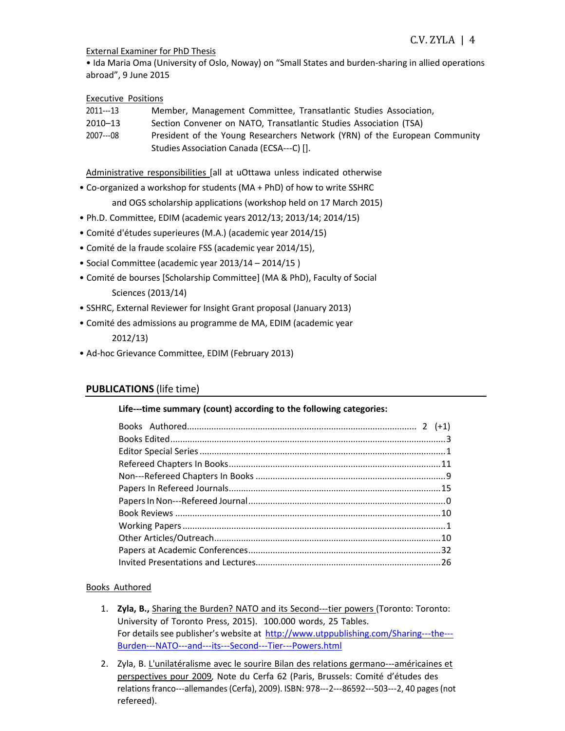#### External Examiner for PhD Thesis

• Ida Maria Oma (University of Oslo, Noway) on "Small States and burden-sharing in allied operations abroad", 9 June 2015

## Executive Positions

| 2011---13 | Member, Management Committee, Transatlantic Studies Association,           |
|-----------|----------------------------------------------------------------------------|
| 2010-13   | Section Convener on NATO, Transatlantic Studies Association (TSA)          |
| 2007---08 | President of the Young Researchers Network (YRN) of the European Community |

Studies Association Canada (ECSA---C) [].

Administrative responsibilities [all at uOttawa unless indicated otherwise

• Co-organized a workshop for students (MA + PhD) of how to write SSHRC

and OGS scholarship applications (workshop held on 17 March 2015)

- Ph.D. Committee, EDIM (academic years 2012/13; 2013/14; 2014/15)
- Comité d'études superieures (M.A.) (academic year 2014/15)
- Comité de la fraude scolaire FSS (academic year 2014/15),
- Social Committee (academic year 2013/14 2014/15 )
- Comité de bourses [Scholarship Committee] (MA & PhD), Faculty of Social Sciences (2013/14)
- SSHRC, External Reviewer for Insight Grant proposal (January 2013)
- Comité des admissions au programme de MA, EDIM (academic year 2012/13)
- Ad-hoc Grievance Committee, EDIM (February 2013)

# **PUBLICATIONS** (life time)

## **Life---time summary (count) according to the following categories:**

## Books Authored

- 1. **Zyla, B.,** Sharing the Burden? NATO and its Second---tier powers (Toronto: Toronto: University of Toronto Press, 2015). 100.000 words, 25 Tables. For details see publisher's website at [http://www.utppublishing.com/Sharing---t](http://www.utppublishing.com/Sharing-)he--- Burden---NATO---and---its---Second---Tier---Powers.html
- 2. Zyla, B. L'unilatéralisme avec le sourire Bilan des relations germano---américaines et perspectives pour 2009*,* Note du Cerfa 62 (Paris, Brussels: Comité d'études des relations franco---allemandes (Cerfa), 2009). ISBN: 978---2---86592---503---2, 40 pages(not refereed).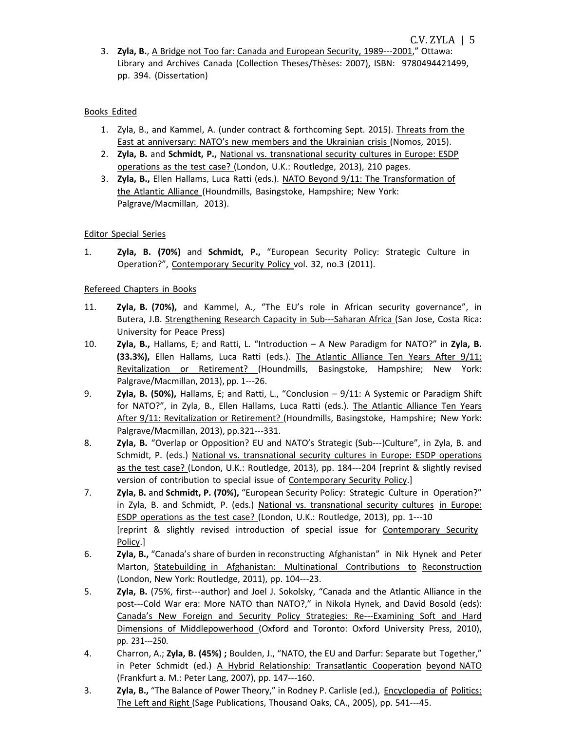3. **Zyla, B.**, A Bridge not Too far: Canada and European Security, 1989---2001," Ottawa: Library and Archives Canada (Collection Theses/Thèses: 2007), ISBN: 9780494421499, pp. 394. (Dissertation)

# Books Edited

- 1. Zyla, B., and Kammel, A. (under contract & forthcoming Sept. 2015). Threats from the East at anniversary: NATO's new members and the Ukrainian crisis (Nomos, 2015).
- 2. **Zyla, B.** and **Schmidt, P.,** National vs. transnational security cultures in Europe: ESDP operations as the test case? (London, U.K.: Routledge, 2013), 210 pages.
- 3. **Zyla, B.,** Ellen Hallams, Luca Ratti (eds.). NATO Beyond 9/11: The Transformation of the Atlantic Alliance (Houndmills, Basingstoke, Hampshire; New York: Palgrave/Macmillan, 2013).

## Editor Special Series

1. **Zyla, B. (70%)** and **Schmidt, P.,** "European Security Policy: Strategic Culture in Operation?", Contemporary Security Policy vol. 32, no.3 (2011).

# Refereed Chapters in Books

- 11. **Zyla, B. (70%),** and Kammel, A., "The EU's role in African security governance", in Butera, J.B. Strengthening Research Capacity in Sub---Saharan Africa (San Jose, Costa Rica: University for Peace Press)
- 10. **Zyla, B.,** Hallams, E; and Ratti, L. "Introduction A New Paradigm for NATO?" in **Zyla, B. (33.3%),** Ellen Hallams, Luca Ratti (eds.). The Atlantic Alliance Ten Years After 9/11: Revitalization or Retirement? (Houndmills, Basingstoke, Hampshire; New York: Palgrave/Macmillan, 2013), pp. 1---26.
- 9. **Zyla, B. (50%),** Hallams, E; and Ratti, L., "Conclusion 9/11: A Systemic or Paradigm Shift for NATO?", in Zyla, B., Ellen Hallams, Luca Ratti (eds.). The Atlantic Alliance Ten Years After 9/11: Revitalization or Retirement? (Houndmills, Basingstoke, Hampshire; New York: Palgrave/Macmillan, 2013), pp.321---331.
- 8. **Zyla, B.** "Overlap or Opposition? EU and NATO's Strategic (Sub---)Culture", in Zyla, B. and Schmidt, P. (eds.) National vs. transnational security cultures in Europe: ESDP operations as the test case? (London, U.K.: Routledge, 2013), pp. 184---204 [reprint & slightly revised version of contribution to special issue of Contemporary Security Policy.]
- 7. **Zyla, B.** and **Schmidt, P. (70%),** "European Security Policy: Strategic Culture in Operation?" in Zyla, B. and Schmidt, P. (eds.) National vs. transnational security cultures in Europe: ESDP operations as the test case? (London, U.K.: Routledge, 2013), pp. 1---10 [reprint & slightly revised introduction of special issue for Contemporary Security Policy.]
- 6. **Zyla, B.,** "Canada's share of burden in reconstructing Afghanistan" in Nik Hynek and Peter Marton, Statebuilding in Afghanistan: Multinational Contributions to Reconstruction (London, New York: Routledge, 2011), pp. 104---23.
- 5. **Zyla, B.** (75%, first---author) and Joel J. Sokolsky, "Canada and the Atlantic Alliance in the post---Cold War era: More NATO than NATO?," in Nikola Hynek, and David Bosold (eds): Canada's New Foreign and Security Policy Strategies: Re---Examining Soft and Hard Dimensions of Middlepowerhood (Oxford and Toronto: Oxford University Press, 2010), pp. 231---250.
- 4. Charron, A.; **Zyla, B. (45%) ;** Boulden, J., "NATO, the EU and Darfur: Separate but Together," in Peter Schmidt (ed.) A Hybrid Relationship: Transatlantic Cooperation beyond NATO (Frankfurt a. M.: Peter Lang, 2007), pp. 147---160.
- 3. **Zyla, B.,** "The Balance of Power Theory," in Rodney P. Carlisle (ed.), Encyclopedia of Politics: The Left and Right (Sage Publications, Thousand Oaks, CA., 2005), pp. 541---45.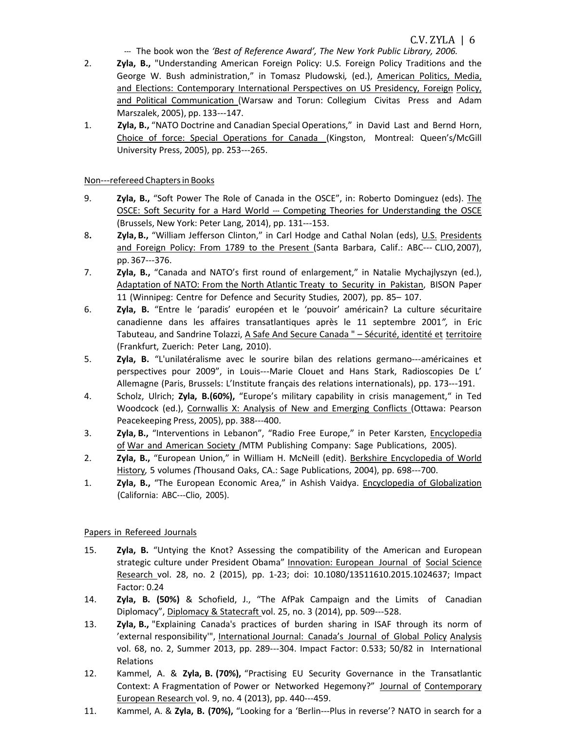- C.V. ZYLA <sup>|</sup> <sup>6</sup> --- The book won the *'Best of Reference Award', The New York Public Library, 2006.*
- 2. **Zyla, B.,** "Understanding American Foreign Policy: U.S. Foreign Policy Traditions and the George W. Bush administration," in Tomasz Pludowski*,* (ed.), American Politics, Media, and Elections: Contemporary International Perspectives on US Presidency, Foreign Policy, and Political Communication (Warsaw and Torun: Collegium Civitas Press and Adam Marszalek, 2005), pp. 133---147.
- 1. **Zyla, B.,** "NATO Doctrine and Canadian Special Operations," in David Last and Bernd Horn, Choice of force: Special Operations for Canada (Kingston, Montreal: Queen's/McGill University Press, 2005), pp. 253---265.

## Non---refereed Chaptersin Books

- 9. **Zyla, B.,** "Soft Power The Role of Canada in the OSCE", in: Roberto Dominguez (eds). The OSCE: Soft Security for a Hard World --- Competing Theories for Understanding the OSCE (Brussels, New York: Peter Lang, 2014), pp. 131---153.
- 8**. Zyla, B.,** "William Jefferson Clinton," in Carl Hodge and Cathal Nolan (eds), U.S. Presidents and Foreign Policy: From 1789 to the Present (Santa Barbara, Calif.: ABC--- CLIO,2007), pp. 367---376.
- 7. **Zyla, B.,** "Canada and NATO's first round of enlargement," in Natalie Mychajlyszyn (ed.), Adaptation of NATO: From the North Atlantic Treaty to Security in Pakistan, BISON Paper 11 (Winnipeg: Centre for Defence and Security Studies, 2007), pp. 85– 107.
- 6. **Zyla, B.** "Entre le 'paradis' européen et le 'pouvoir' américain? La culture sécuritaire canadienne dans les affaires transatlantiques après le 11 septembre 2001*",* in Eric Tabuteau, and Sandrine Tolazzi, A Safe And Secure Canada " – Sécurité, identité et territoire (Frankfurt, Zuerich: Peter Lang, 2010).
- 5. **Zyla, B.** "L'unilatéralisme avec le sourire bilan des relations germano---américaines et perspectives pour 2009", in Louis---Marie Clouet and Hans Stark, Radioscopies De L' Allemagne (Paris, Brussels: L'Institute français des relations internationals), pp. 173---191.
- 4. Scholz, Ulrich; **Zyla, B.(60%),** "Europe's military capability in crisis management," in Ted Woodcock (ed.), Cornwallis X: Analysis of New and Emerging Conflicts (Ottawa: Pearson Peacekeeping Press, 2005), pp. 388---400.
- 3. **Zyla, B.,** "Interventions in Lebanon", "Radio Free Europe," in Peter Karsten, Encyclopedia of War and American Society *(*MTM Publishing Company: Sage Publications, 2005).
- 2. **Zyla, B.,** "European Union," in William H. McNeill (edit). Berkshire Encyclopedia of World History*,* 5 volumes *(*Thousand Oaks, CA.: Sage Publications, 2004), pp. 698---700.
- 1. **Zyla, B.,** "The European Economic Area," in Ashish Vaidya. Encyclopedia of Globalization (California: ABC---Clio, 2005).

## Papers in Refereed Journals

- 15. **Zyla, B.** "Untying the Knot? Assessing the compatibility of the American and European strategic culture under President Obama" Innovation: European Journal of Social Science Research vol. 28, no. 2 (2015), pp. 1-23; doi: 10.1080/13511610.2015.1024637; Impact Factor: 0.24
- 14. **Zyla, B. (50%)** & Schofield, J., "The AfPak Campaign and the Limits of Canadian Diplomacy", Diplomacy & Statecraft vol. 25, no. 3 (2014), pp. 509---528.
- 13. **Zyla, B.,** "Explaining Canada's practices of burden sharing in ISAF through its norm of 'external responsibility'", International Journal: Canada's Journal of Global Policy Analysis vol. 68, no. 2, Summer 2013, pp. 289---304. Impact Factor: 0.533; 50/82 in International Relations
- 12. Kammel, A. & **Zyla, B. (70%),** "Practising EU Security Governance in the Transatlantic Context: A Fragmentation of Power or Networked Hegemony?" Journal of Contemporary European Research vol. 9, no. 4 (2013), pp. 440---459.
- 11. Kammel, A. & **Zyla, B. (70%),** "Looking for a 'Berlin---Plus in reverse'? NATO in search for a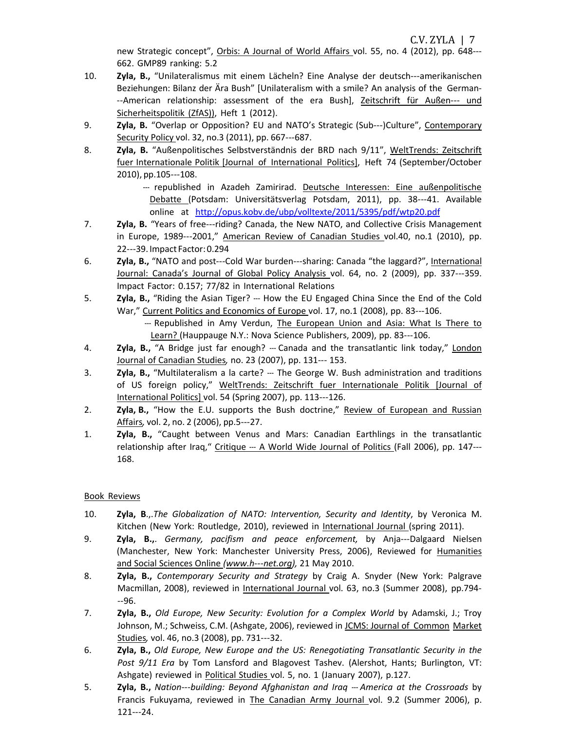C.V. ZYLA | 7

new Strategic concept", Orbis: A Journal of World Affairs vol. 55, no. 4 (2012), pp. 648--- 662. GMP89 ranking: 5.2

- 10. **Zyla, B.,** "Unilateralismus mit einem Lächeln? Eine Analyse der deutsch---amerikanischen Beziehungen: Bilanz der Ära Bush" [Unilateralism with a smile? An analysis of the German- --American relationship: assessment of the era Bush], Zeitschrift für Außen--- und Sicherheitspolitik (ZfAS)), Heft 1 (2012).
- 9. **Zyla, B.** "Overlap or Opposition? EU and NATO's Strategic (Sub---)Culture", Contemporary Security Policy vol. 32, no.3 (2011), pp. 667---687.
- 8. **Zyla, B.** "Außenpolitisches Selbstverständnis der BRD nach 9/11", WeltTrends: Zeitschrift fuer Internationale Politik [Journal of International Politics], Heft 74 (September/October 2010), pp.105---108.

--- republished in Azadeh Zamirirad. Deutsche Interessen: Eine außenpolitische Debatte (Potsdam: Universitätsverlag Potsdam, 2011), pp. 38---41. Available online at <http://opus.kobv.de/ubp/volltexte/2011/5395/pdf/wtp20.pdf>

- 7. **Zyla, B.** "Years of free---riding? Canada, the New NATO, and Collective Crisis Management in Europe, 1989---2001," American Review of Canadian Studies vol.40, no.1 (2010), pp. 22---39. Impact Factor: 0.294
- 6. **Zyla, B.,** "NATO and post---Cold War burden---sharing: Canada "the laggard?", International Journal: Canada's Journal of Global Policy Analysis vol. 64, no. 2 (2009), pp. 337---359. Impact Factor: 0.157; 77/82 in International Relations
- 5. **Zyla, B.,** "Riding the Asian Tiger? --- How the EU Engaged China Since the End of the Cold War," Current Politics and Economics of Europe vol. 17, no.1 (2008), pp. 83---106.
	- --- Republished in Amy Verdun, The European Union and Asia: What Is There to Learn? (Hauppauge N.Y.: Nova Science Publishers, 2009), pp. 83---106.
- 4. **Zyla, B.,** "A Bridge just far enough? --- Canada and the transatlantic link today," London Journal of Canadian Studies*,* no. 23 (2007), pp. 131--- 153.
- 3. **Zyla, B.,** "Multilateralism a la carte? --- The George W. Bush administration and traditions of US foreign policy," WeltTrends: Zeitschrift fuer Internationale Politik [Journal of International Politics] vol. 54 (Spring 2007), pp. 113---126.
- 2. **Zyla, B.,** "How the E.U. supports the Bush doctrine," Review of European and Russian Affairs*,* vol. 2, no. 2 (2006), pp.5---27.
- 1. **Zyla, B.,** "Caught between Venus and Mars: Canadian Earthlings in the transatlantic relationship after Iraq," Critique --- A World Wide Journal of Politics (Fall 2006), pp. 147---168.

# Book Reviews

- 10. **Zyla, B**.,.*The Globalization of NATO: Intervention, Security and Identity*, by Veronica M. Kitchen (New York: Routledge, 2010), reviewed in International Journal (spring 2011).
- 9. **Zyla, B.,**. *Germany, pacifism and peace enforcement,* by Anja---Dalgaard Nielsen (Manchester, New York: Manchester University Press, 2006), Reviewed for Humanities and Social Sciences Online *(www.h---net.org),* 21 May 2010.
- 8. **Zyla, B.,** *Contemporary Security and Strategy* by Craig A. Snyder (New York: Palgrave Macmillan, 2008), reviewed in International Journal vol. 63, no.3 (Summer 2008), pp.794---96.
- 7. **Zyla, B.,** *Old Europe, New Security: Evolution for a Complex World* by Adamski, J.; Troy Johnson, M.; Schweiss, C.M. (Ashgate, 2006), reviewed in JCMS: Journal of Common Market Studies*,* vol. 46, no.3 (2008), pp. 731---32.
- 6. **Zyla, B.,** *Old Europe, New Europe and the US: Renegotiating Transatlantic Security in the Post 9/11 Era* by Tom Lansford and Blagovest Tashev. (Alershot, Hants; Burlington, VT: Ashgate) reviewed in Political Studies vol. 5, no. 1 (January 2007), p.127.
- 5. **Zyla, B.,** *Nation---building: Beyond Afghanistan and Iraq --- America at the Crossroads* by Francis Fukuyama, reviewed in The Canadian Army Journal vol. 9.2 (Summer 2006), p. 121---24.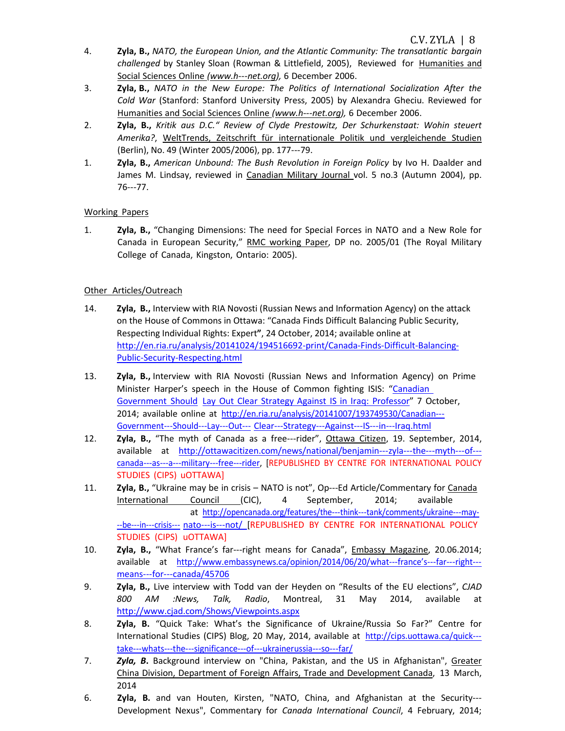- 4. **Zyla, B.,** *NATO, the European Union, and the Atlantic Community: The transatlantic bargain challenged* by Stanley Sloan (Rowman & Littlefield, 2005), Reviewed for Humanities and Social Sciences Online *(www.h---net.org),* 6 December 2006.
- 3. **Zyla, B.,** *NATO in the New Europe: The Politics of International Socialization After the Cold War* (Stanford: Stanford University Press, 2005) by Alexandra Gheciu. Reviewed for Humanities and Social Sciences Online *(www.h---net.org),* 6 December 2006.
- 2. **Zyla, B.,** *Kritik aus D.C." Review of Clyde Prestowitz, Der Schurkenstaat: Wohin steuert Amerika?*, WeltTrends, Zeitschrift für internationale Politik und vergleichende Studien (Berlin), No. 49 (Winter 2005/2006), pp. 177---79.
- 1. **Zyla, B.,** *American Unbound: The Bush Revolution in Foreign Policy* by Ivo H. Daalder and James M. Lindsay, reviewed in Canadian Military Journal vol. 5 no.3 (Autumn 2004), pp. 76---77.

## Working Papers

1. **Zyla, B.,** "Changing Dimensions: The need for Special Forces in NATO and a New Role for Canada in European Security," RMC working Paper, DP no. 2005/01 (The Royal Military College of Canada, Kingston, Ontario: 2005).

# Other Articles/Outreach

- 14. **Zyla, B.,** Interview with RIA Novosti (Russian News and Information Agency) on the attack on the House of Commons in Ottawa: "Canada Finds Difficult Balancing Public Security, Respecting Individual Rights: Expert**"**, 24 October, 2014; available online at [http://en.ria.ru/analysis/20141024/194516692-print/Canada-Finds-Difficult-Balancing-](http://en.ria.ru/analysis/20141024/194516692-print/Canada-Finds-Difficult-Balancing-Public-Security-Respecting.html)[Public-Security-Respecting.html](http://en.ria.ru/analysis/20141024/194516692-print/Canada-Finds-Difficult-Balancing-Public-Security-Respecting.html)
- 13. **Zyla, B.,** Interview with RIA Novosti (Russian News and Information Agency) on Prime Minister Harper's speech in the House of Common fighting ISIS: "Canadian Government Should Lay Out Clear Strategy Against IS in Iraq: Professor" 7 October, 2014; available online at [http://en.ria.ru/analysis/20141007/193749530/Canadian---](http://en.ria.ru/analysis/20141007/193749530/Canadian-) Government---Should---Lay---Out--- Clear---Strategy---Against---IS---in---Iraq.html
- 12. **Zyla, B.,** "The myth of Canada as a free---rider", Ottawa Citizen, 19. September, 2014, available at [http://ottawacitizen.com/news/national/benjamin---z](http://ottawacitizen.com/news/national/benjamin-)yla---the---myth---of-- canada---as---a---military---free---rider, [REPUBLISHED BY CENTRE FOR INTERNATIONAL POLICY STUDIES (CIPS) uOTTAWA]
- 11. **Zyla, B.,** "Ukraine may be in crisis NATO is not", Op---Ed Article/Commentary for Canada International Council (CIC), 4 September, 2014; available at [http://opencanada.org/features/the---t](http://opencanada.org/features/the-)hink---tank/comments/ukraine---may- --be---in---crisis--- nato---is---not/ [REPUBLISHED BY CENTRE FOR INTERNATIONAL POLICY STUDIES (CIPS) uOTTAWA]
- 10. **Zyla, B.,** "What France's far---right means for Canada", Embassy Magazine, 20.06.2014; available at [http://www.embassynews.ca/opinion/2014/06/20/what---f](http://www.embassynews.ca/opinion/2014/06/20/what-)rance's---far---right-- means---for---canada/45706
- 9. **Zyla, B.,** Live interview with Todd van der Heyden on "Results of the EU elections", *CJAD 800 AM :News, Talk, Radio*, Montreal, 31 May 2014, available at <http://www.cjad.com/Shows/Viewpoints.aspx>
- 8. **Zyla, B.** "Quick Take: What's the Significance of Ukraine/Russia So Far?" Centre for International Studies (CIPS) Blog, 20 May, 2014, available at [http://cips.uottawa.ca/quick--](http://cips.uottawa.ca/quick-) take---whats---the---significance---of---ukrainerussia---so---far/
- 7. *Zyla, B***.** Background interview on "China, Pakistan, and the US in Afghanistan", Greater China Division, Department of Foreign Affairs, Trade and Development Canada, 13 March, 2014
- 6. **Zyla, B.** and van Houten, Kirsten, "NATO, China, and Afghanistan at the Security--- Development Nexus", Commentary for *Canada International Council*, 4 February, 2014;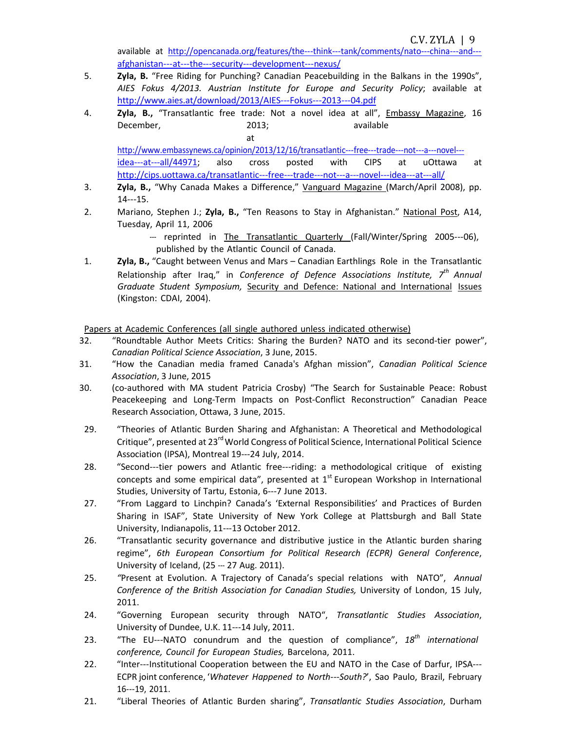available at [http://opencanada.org/features/the---t](http://opencanada.org/features/the-)hink---tank/comments/nato---china---and-- afghanistan---at---the---security---development---nexus/

- 5. **Zyla, B.** "Free Riding for Punching? Canadian Peacebuilding in the Balkans in the 1990s", *AIES Fokus 4/2013. Austrian Institute for Europe and Security Policy*; available at [http://www.aies.at/download/2013/AIES---F](http://www.aies.at/download/2013/AIES-)okus---2013---04.pdf
- 4. **Zyla, B.,** "Transatlantic free trade: Not a novel idea at all", Embassy Magazine, 16 December, 2013; available

at [http://www.embassynews.ca/opinion/2013/12/16/transatlantic---f](http://www.embassynews.ca/opinion/2013/12/16/transatlantic-)ree---trade---not---a---novel-- idea---at---all/44971; also cross posted with CIPS at uOttawa a[t](http://cips.uottawa.ca/transatlantic-) [http://cips.uottawa.ca/transatlantic---f](http://cips.uottawa.ca/transatlantic-)ree---trade---not---a---novel---idea---at---all/

- 3. **Zyla, B.,** "Why Canada Makes a Difference," Vanguard Magazine (March/April 2008), pp. 14---15.
- 2. Mariano, Stephen J.; **Zyla, B.,** "Ten Reasons to Stay in Afghanistan." National Post, A14, Tuesday, April 11, 2006
	- --- reprinted in The Transatlantic Quarterly (Fall/Winter/Spring 2005---06), published by the Atlantic Council of Canada.
- 1. **Zyla, B.,** "Caught between Venus and Mars Canadian Earthlings Role in the Transatlantic Relationship after Iraq," in *Conference of Defence Associations Institute, 7th Annual Graduate Student Symposium,* Security and Defence: National and International Issues (Kingston: CDAI, 2004).

Papers at Academic Conferences (all single authored unless indicated otherwise)

- 32. "Roundtable Author Meets Critics: Sharing the Burden? NATO and its second-tier power", *Canadian Political Science Association*, 3 June, 2015.
- 31. "How the Canadian media framed Canada's Afghan mission", *Canadian Political Science Association*, 3 June, 2015
- 30. (co-authored with MA student Patricia Crosby) "The Search for Sustainable Peace: Robust Peacekeeping and Long-Term Impacts on Post-Conflict Reconstruction" Canadian Peace Research Association, Ottawa, 3 June, 2015.
- 29. "Theories of Atlantic Burden Sharing and Afghanistan: A Theoretical and Methodological Critique", presented at 23<sup>rd</sup> World Congress of Political Science, International Political Science Association (IPSA), Montreal 19---24 July, 2014.
- 28. "Second---tier powers and Atlantic free---riding: a methodological critique of existing concepts and some empirical data", presented at  $1<sup>st</sup>$  European Workshop in International Studies, University of Tartu, Estonia, 6---7 June 2013.
- 27. "From Laggard to Linchpin? Canada's 'External Responsibilities' and Practices of Burden Sharing in ISAF", State University of New York College at Plattsburgh and Ball State University, Indianapolis, 11---13 October 2012.
- 26. "Transatlantic security governance and distributive justice in the Atlantic burden sharing regime", *6th European Consortium for Political Research (ECPR) General Conference*, University of Iceland, (25 --- 27 Aug. 2011).
- 25. *"*Present at Evolution. A Trajectory of Canada's special relations with NATO", *Annual Conference of the British Association for Canadian Studies,* University of London, 15 July, 2011.
- 24. "Governing European security through NATO", *Transatlantic Studies Association*, University of Dundee, U.K. 11---14 July, 2011.
- 23. "The EU---NATO conundrum and the question of compliance", *18th international conference, Council for European Studies,* Barcelona, 2011.
- 22. "Inter---Institutional Cooperation between the EU and NATO in the Case of Darfur, IPSA---ECPR joint conference, '*Whatever Happened to North---South?*', Sao Paulo, Brazil, February 16---19, 2011.
- 21. "Liberal Theories of Atlantic Burden sharing", *Transatlantic Studies Association*, Durham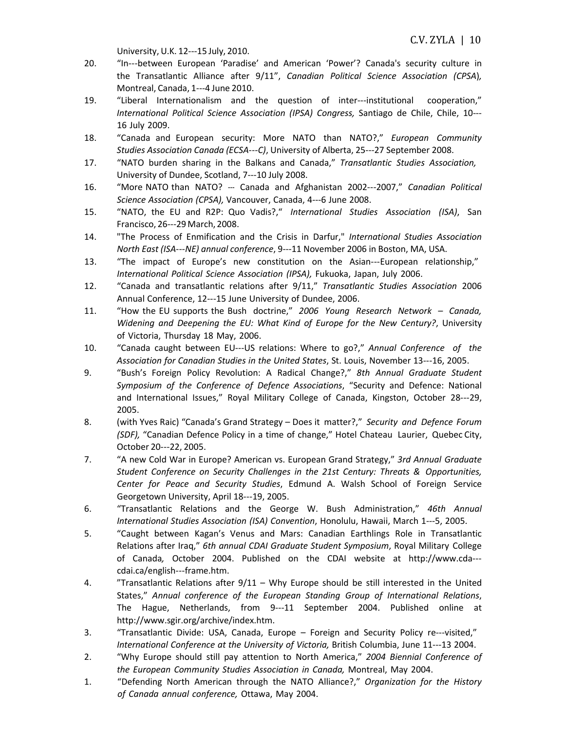University,U.K. 12---15 July, 2010.

- 20. "In---between European 'Paradise' and American 'Power'? Canada's security culture in the Transatlantic Alliance after 9/11", *Canadian Political Science Association (CPSA*)*,* Montreal, Canada, 1---4 June 2010.
- 19. "Liberal Internationalism and the question of inter---institutional cooperation," *International Political Science Association (IPSA) Congress,* Santiago de Chile, Chile, 10--- 16 July 2009.
- 18. "Canada and European security: More NATO than NATO?," *European Community Studies Association Canada (ECSA---C)*, University of Alberta, 25---27 September 2008.
- 17. "NATO burden sharing in the Balkans and Canada," *Transatlantic Studies Association,* University of Dundee, Scotland, 7---10 July 2008.
- 16. "More NATO than NATO? --- Canada and Afghanistan 2002---2007," *Canadian Political Science Association (CPSA),* Vancouver, Canada, 4---6 June 2008.
- 15. "NATO, the EU and R2P: Quo Vadis?," *International Studies Association (ISA)*, San Francisco, 26---29 March, 2008.
- 14. "The Process of Enmification and the Crisis in Darfur," *International Studies Association North East (ISA---NE) annual conference*, 9---11 November 2006 in Boston, MA, USA.
- 13. "The impact of Europe's new constitution on the Asian---European relationship," *International Political Science Association (IPSA),* Fukuoka, Japan, July 2006.
- 12. "Canada and transatlantic relations after 9/11," *Transatlantic Studies Association* 2006 Annual Conference, 12---15 June University of Dundee, 2006.
- 11. "How the EU supports the Bush doctrine," *2006 Young Research Network – Canada, Widening and Deepening the EU: What Kind of Europe for the New Century?*, University of Victoria, Thursday 18 May, 2006.
- 10. "Canada caught between EU---US relations: Where to go?," *Annual Conference of the Association for Canadian Studies in the United States*, St. Louis, November 13---16, 2005.
- 9. "Bush's Foreign Policy Revolution: A Radical Change?," *8th Annual Graduate Student Symposium of the Conference of Defence Associations*, "Security and Defence: National and International Issues," Royal Military College of Canada, Kingston, October 28---29, 2005.
- 8. (with Yves Raic) "Canada's Grand Strategy Does it matter?," *Security and Defence Forum (SDF),* "Canadian Defence Policy in a time of change," Hotel Chateau Laurier, Quebec City, October 20---22, 2005.
- 7. "A new Cold War in Europe? American vs. European Grand Strategy," *3rd Annual Graduate Student Conference on Security Challenges in the 21st Century: Threats & Opportunities, Center for Peace and Security Studies*, Edmund A. Walsh School of Foreign Service Georgetown University, April 18---19, 2005.
- 6. "Transatlantic Relations and the George W. Bush Administration," *46th Annual International Studies Association (ISA) Convention*, Honolulu, Hawaii, March 1---5, 2005.
- 5. "Caught between Kagan's Venus and Mars: Canadian Earthlings Role in Transatlantic Relations after Iraq," *6th annual CDAI Graduate Student Symposium*, Royal Military College of Canada*,* October 2004. Published on the CDAI website at http://www.cda-- cdai.ca/english---frame.htm.
- 4. "Transatlantic Relations after 9/11 Why Europe should be still interested in the United States," *Annual conference of the European Standing Group of International Relations*, The Hague, Netherlands, from 9---11 September 2004. Published online a[t](http://www.sgir.org/archive/index.htm) [http://www.sgir.org/archive/index.htm.](http://www.sgir.org/archive/index.htm)
- 3. "Transatlantic Divide: USA, Canada, Europe Foreign and Security Policy re---visited," *International Conference at the University of Victoria,* British Columbia, June 11---13 2004.
- 2. "Why Europe should still pay attention to North America," *2004 Biennial Conference of the European Community Studies Association in Canada,* Montreal, May 2004.
- 1. "Defending North American through the NATO Alliance?," *Organization for the History of Canada annual conference,* Ottawa, May 2004.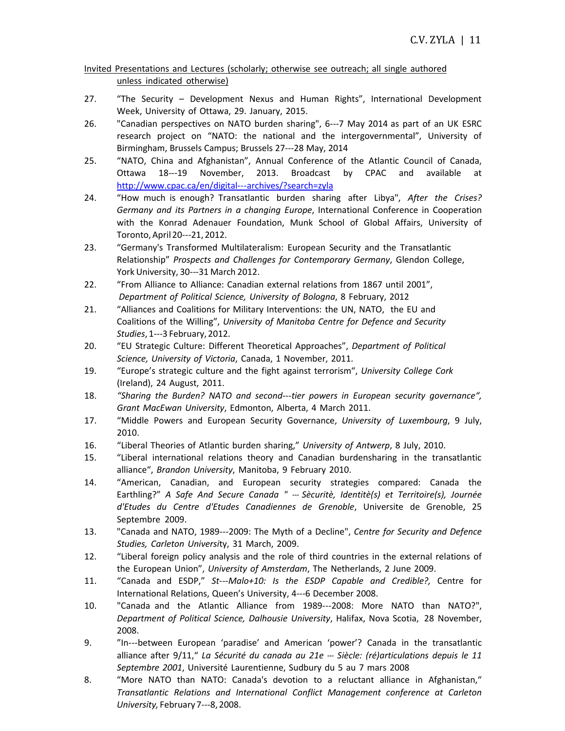## Invited Presentations and Lectures (scholarly; otherwise see outreach; all single authored unless indicated otherwise)

- 27. "The Security Development Nexus and Human Rights", International Development Week, University of Ottawa, 29. January, 2015.
- 26. "Canadian perspectives on NATO burden sharing", 6---7 May 2014 as part of an UK ESRC research project on "NATO: the national and the intergovernmental", University of Birmingham, Brussels Campus; Brussels 27---28 May, 2014
- 25. "NATO, China and Afghanistan", Annual Conference of the Atlantic Council of Canada, Ottawa 18---19 November, 2013. Broadcast by CPAC and available at [http://www.cpac.ca/en/digital---a](http://www.cpac.ca/en/digital-)rchives/?search=zyla
- 24. "How much is enough? Transatlantic burden sharing after Libya", *After the Crises? Germany and its Partners in a changing Europe*, International Conference in Cooperation with the Konrad Adenauer Foundation, Munk School of Global Affairs, University of Toronto,April20---21, 2012.
- 23. "Germany's Transformed Multilateralism: European Security and the Transatlantic Relationship" *Prospects and Challenges for Contemporary Germany*, Glendon College, York University, 30---31 March 2012.
- 22. "From Alliance to Alliance: Canadian external relations from 1867 until 2001", *Department of Political Science, University of Bologna*, 8 February, 2012
- 21. "Alliances and Coalitions for Military Interventions: the UN, NATO, the EU and Coalitions of the Willing", *University of Manitoba Centre for Defence and Security Studies*, 1---3 February, 2012.
- 20. "EU Strategic Culture: Different Theoretical Approaches", *Department of Political Science, University of Victoria*, Canada, 1 November, 2011.
- 19. "Europe's strategic culture and the fight against terrorism", *University College Cork* (Ireland), 24 August, 2011.
- 18. *"Sharing the Burden? NATO and second---tier powers in European security governance", Grant MacEwan University*, Edmonton, Alberta, 4 March 2011.
- 17. "Middle Powers and European Security Governance, *University of Luxembourg*, 9 July, 2010.
- 16. "Liberal Theories of Atlantic burden sharing," *University of Antwerp*, 8 July, 2010.
- 15. "Liberal international relations theory and Canadian burdensharing in the transatlantic alliance", *Brandon University*, Manitoba, 9 February 2010.
- 14. "American, Canadian, and European security strategies compared: Canada the Earthling?" *A Safe And Secure Canada " --- Sècuritè, Identitè(s) et Territoire(s), Journée d'Etudes du Centre d'Etudes Canadiennes de Grenoble*, Universite de Grenoble, 25 Septembre 2009.
- 13. "Canada and NATO, 1989---2009: The Myth of a Decline", *Centre for Security and Defence Studies, Carleton Universi*ty, 31 March, 2009.
- 12. "Liberal foreign policy analysis and the role of third countries in the external relations of the European Union", *University of Amsterdam*, The Netherlands, 2 June 2009.
- 11. "Canada and ESDP," *St---Malo+10: Is the ESDP Capable and Credible?,* Centre for International Relations, Queen's University, 4---6 December 2008.
- 10. "Canada and the Atlantic Alliance from 1989---2008: More NATO than NATO?", *Department of Political Science, Dalhousie University*, Halifax, Nova Scotia, 28 November, 2008.
- 9. "In---between European 'paradise' and American 'power'? Canada in the transatlantic alliance after 9/11," *La Sécurité du canada au 21e --- Siècle: (ré)articulations depuis le 11 Septembre 2001*, Université Laurentienne, Sudbury du 5 au 7 mars 2008
- 8. "More NATO than NATO: Canada's devotion to a reluctant alliance in Afghanistan," *Transatlantic Relations and International Conflict Management conference at Carleton University,* February7---8,2008.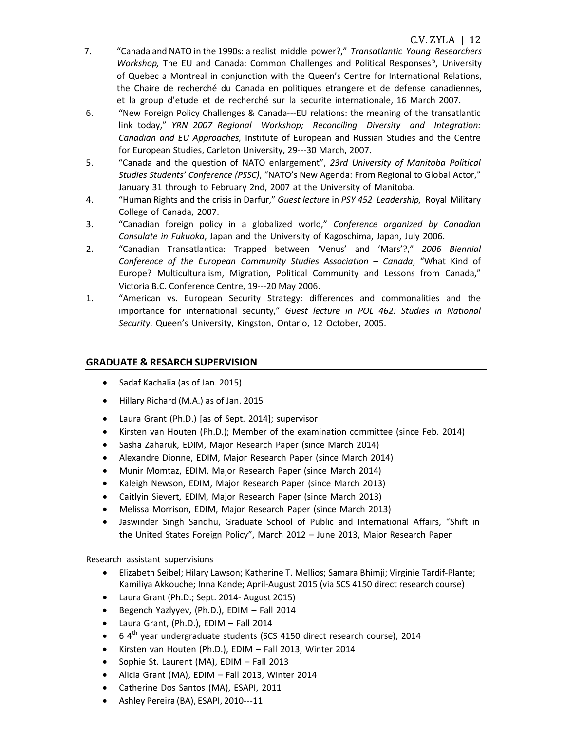- 7. "Canada and NATO in the 1990s: a realist middle power?," *Transatlantic Young Researchers Workshop,* The EU and Canada: Common Challenges and Political Responses?, University of Quebec a Montreal in conjunction with the Queen's Centre for International Relations, the Chaire de recherché du Canada en politiques etrangere et de defense canadiennes, et la group d'etude et de recherché sur la securite internationale, 16 March 2007.
- 6. "New Foreign Policy Challenges & Canada---EU relations: the meaning of the transatlantic link today," *YRN 2007 Regional Workshop; Reconciling Diversity and Integration: Canadian and EU Approaches,* Institute of European and Russian Studies and the Centre for European Studies, Carleton University, 29---30 March, 2007.
- 5. "Canada and the question of NATO enlargement", *23rd University of Manitoba Political Studies Students' Conference (PSSC)*, "NATO's New Agenda: From Regional to Global Actor," January 31 through to February 2nd, 2007 at the University of Manitoba.
- 4. "Human Rights and the crisis in Darfur," *Guest lecture* in *PSY 452 Leadership,* Royal Military College of Canada, 2007.
- 3. "Canadian foreign policy in a globalized world," *Conference organized by Canadian Consulate in Fukuoka*, Japan and the University of Kagoschima, Japan, July 2006.
- 2. "Canadian Transatlantica: Trapped between 'Venus' and 'Mars'?," *2006 Biennial Conference of the European Community Studies Association – Canada*, "What Kind of Europe? Multiculturalism, Migration, Political Community and Lessons from Canada," Victoria B.C. Conference Centre, 19---20 May 2006.
- 1. "American vs. European Security Strategy: differences and commonalities and the importance for international security," *Guest lecture in POL 462: Studies in National Security*, Queen's University, Kingston, Ontario, 12 October, 2005.

# **GRADUATE & RESARCH SUPERVISION**

- Sadaf Kachalia (as of Jan. 2015)
- Hillary Richard (M.A.) as of Jan. 2015
- Laura Grant (Ph.D.) [as of Sept. 2014]; supervisor
- Kirsten van Houten (Ph.D.); Member of the examination committee (since Feb. 2014)
- Sasha Zaharuk, EDIM, Major Research Paper (since March 2014)
- Alexandre Dionne, EDIM, Major Research Paper (since March 2014)
- Munir Momtaz, EDIM, Major Research Paper (since March 2014)
- Kaleigh Newson, EDIM, Major Research Paper (since March 2013)
- Caitlyin Sievert, EDIM, Major Research Paper (since March 2013)
- Melissa Morrison, EDIM, Major Research Paper (since March 2013)
- Jaswinder Singh Sandhu, Graduate School of Public and International Affairs, "Shift in the United States Foreign Policy", March 2012 – June 2013, Major Research Paper

#### Research assistant supervisions

- Elizabeth Seibel; Hilary Lawson; Katherine T. Mellios; Samara Bhimji; Virginie Tardif-Plante; Kamiliya Akkouche; Inna Kande; April-August 2015 (via SCS 4150 direct research course)
- Laura Grant (Ph.D.; Sept. 2014- August 2015)
- Begench Yazlyyev, (Ph.D.), EDIM Fall 2014
- Laura Grant, (Ph.D.), EDIM Fall 2014
- $6.4<sup>th</sup>$  year undergraduate students (SCS 4150 direct research course), 2014
- Kirsten van Houten (Ph.D.), EDIM Fall 2013, Winter 2014
- Sophie St. Laurent (MA), EDIM Fall 2013
- Alicia Grant (MA), EDIM Fall 2013, Winter 2014
- Catherine Dos Santos (MA), ESAPI, 2011
- Ashley Pereira (BA), ESAPI, 2010---11